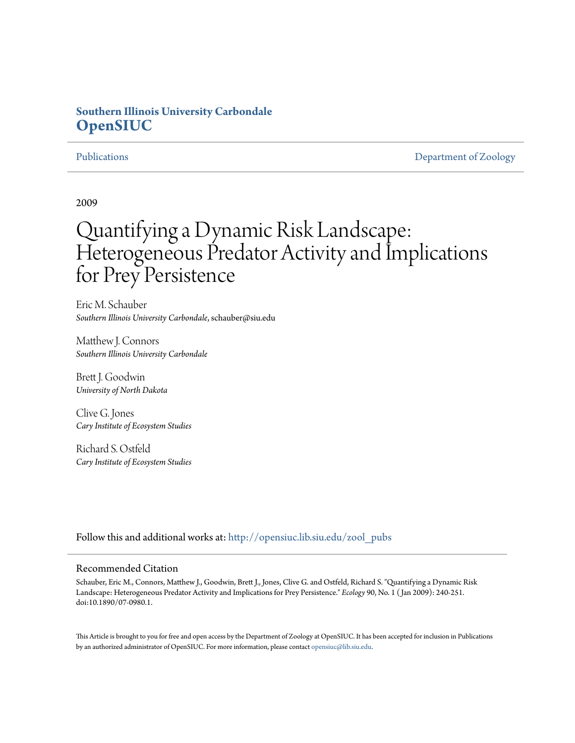# **Southern Illinois University Carbondale [OpenSIUC](http://opensiuc.lib.siu.edu?utm_source=opensiuc.lib.siu.edu%2Fzool_pubs%2F104&utm_medium=PDF&utm_campaign=PDFCoverPages)**

[Publications](http://opensiuc.lib.siu.edu/zool_pubs?utm_source=opensiuc.lib.siu.edu%2Fzool_pubs%2F104&utm_medium=PDF&utm_campaign=PDFCoverPages) **[Department of Zoology](http://opensiuc.lib.siu.edu/zool?utm_source=opensiuc.lib.siu.edu%2Fzool_pubs%2F104&utm_medium=PDF&utm_campaign=PDFCoverPages)** 

2009

# Quantifying a Dynamic Risk Landscape: Heterogeneous Predator Activity and Implications for Prey Persistence

Eric M. Schauber *Southern Illinois University Carbondale*, schauber@siu.edu

Matthew J. Connors *Southern Illinois University Carbondale*

Brett J. Goodwin *University of North Dakota*

Clive G. Jones *Cary Institute of Ecosystem Studies*

Richard S. Ostfeld *Cary Institute of Ecosystem Studies*

Follow this and additional works at: [http://opensiuc.lib.siu.edu/zool\\_pubs](http://opensiuc.lib.siu.edu/zool_pubs?utm_source=opensiuc.lib.siu.edu%2Fzool_pubs%2F104&utm_medium=PDF&utm_campaign=PDFCoverPages)

### Recommended Citation

Schauber, Eric M., Connors, Matthew J., Goodwin, Brett J., Jones, Clive G. and Ostfeld, Richard S. "Quantifying a Dynamic Risk Landscape: Heterogeneous Predator Activity and Implications for Prey Persistence." *Ecology* 90, No. 1 ( Jan 2009): 240-251. doi:10.1890/07-0980.1.

This Article is brought to you for free and open access by the Department of Zoology at OpenSIUC. It has been accepted for inclusion in Publications by an authorized administrator of OpenSIUC. For more information, please contact [opensiuc@lib.siu.edu.](mailto:opensiuc@lib.siu.edu)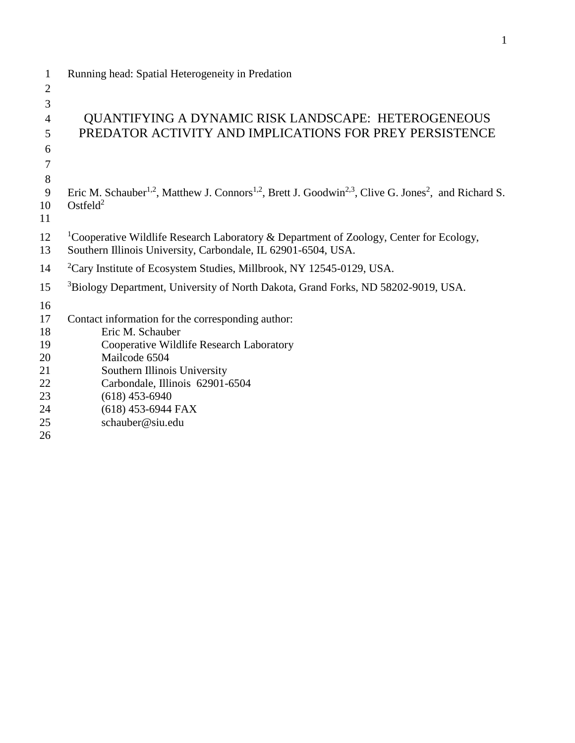| $\mathbf{1}$   | Running head: Spatial Heterogeneity in Predation                                                                                                     |
|----------------|------------------------------------------------------------------------------------------------------------------------------------------------------|
| $\overline{2}$ |                                                                                                                                                      |
| 3              |                                                                                                                                                      |
| 4              | QUANTIFYING A DYNAMIC RISK LANDSCAPE: HETEROGENEOUS                                                                                                  |
| 5              | PREDATOR ACTIVITY AND IMPLICATIONS FOR PREY PERSISTENCE                                                                                              |
| 6              |                                                                                                                                                      |
| 7              |                                                                                                                                                      |
| 8              |                                                                                                                                                      |
| 9              | Eric M. Schauber <sup>1,2</sup> , Matthew J. Connors <sup>1,2</sup> , Brett J. Goodwin <sup>2,3</sup> , Clive G. Jones <sup>2</sup> , and Richard S. |
| 10             | Ostfeld $2$                                                                                                                                          |
| 11             |                                                                                                                                                      |
| 12             | <sup>1</sup> Cooperative Wildlife Research Laboratory & Department of Zoology, Center for Ecology,                                                   |
| 13             | Southern Illinois University, Carbondale, IL 62901-6504, USA.                                                                                        |
| 14             | ${}^{2}$ Cary Institute of Ecosystem Studies, Millbrook, NY 12545-0129, USA.                                                                         |
| 15             | <sup>3</sup> Biology Department, University of North Dakota, Grand Forks, ND 58202-9019, USA.                                                        |
| 16             |                                                                                                                                                      |
| 17             | Contact information for the corresponding author:                                                                                                    |
| 18             | Eric M. Schauber                                                                                                                                     |
| 19             | Cooperative Wildlife Research Laboratory                                                                                                             |
| 20             | Mailcode 6504                                                                                                                                        |
| 21             | Southern Illinois University                                                                                                                         |
| 22             | Carbondale, Illinois 62901-6504                                                                                                                      |
| 23             | $(618)$ 453-6940                                                                                                                                     |
| 24             | $(618)$ 453-6944 FAX                                                                                                                                 |
| 25             | schauber@siu.edu                                                                                                                                     |
| 26             |                                                                                                                                                      |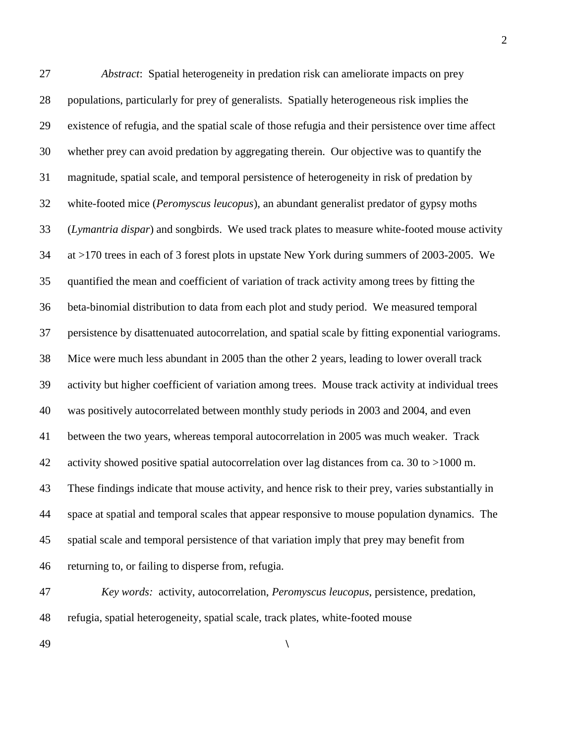*Abstract*: Spatial heterogeneity in predation risk can ameliorate impacts on prey populations, particularly for prey of generalists. Spatially heterogeneous risk implies the existence of refugia, and the spatial scale of those refugia and their persistence over time affect whether prey can avoid predation by aggregating therein. Our objective was to quantify the magnitude, spatial scale, and temporal persistence of heterogeneity in risk of predation by white-footed mice (*Peromyscus leucopus*), an abundant generalist predator of gypsy moths (*Lymantria dispar*) and songbirds. We used track plates to measure white-footed mouse activity at >170 trees in each of 3 forest plots in upstate New York during summers of 2003-2005. We quantified the mean and coefficient of variation of track activity among trees by fitting the beta-binomial distribution to data from each plot and study period. We measured temporal persistence by disattenuated autocorrelation, and spatial scale by fitting exponential variograms. Mice were much less abundant in 2005 than the other 2 years, leading to lower overall track activity but higher coefficient of variation among trees. Mouse track activity at individual trees was positively autocorrelated between monthly study periods in 2003 and 2004, and even between the two years, whereas temporal autocorrelation in 2005 was much weaker. Track activity showed positive spatial autocorrelation over lag distances from ca. 30 to >1000 m. These findings indicate that mouse activity, and hence risk to their prey, varies substantially in space at spatial and temporal scales that appear responsive to mouse population dynamics. The spatial scale and temporal persistence of that variation imply that prey may benefit from returning to, or failing to disperse from, refugia.

 *Key words:* activity, autocorrelation, *Peromyscus leucopus*, persistence, predation, refugia, spatial heterogeneity, spatial scale, track plates, white-footed mouse

**\**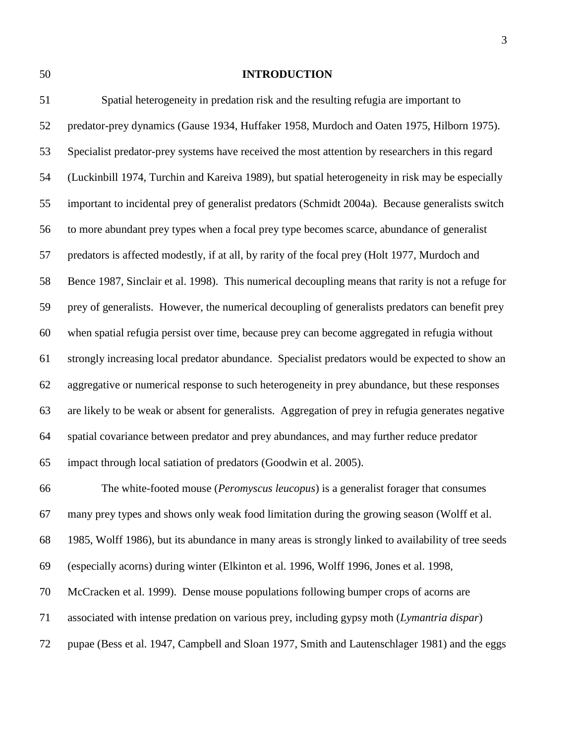#### **INTRODUCTION**

 Spatial heterogeneity in predation risk and the resulting refugia are important to predator-prey dynamics (Gause 1934, Huffaker 1958, Murdoch and Oaten 1975, Hilborn 1975). Specialist predator-prey systems have received the most attention by researchers in this regard (Luckinbill 1974, Turchin and Kareiva 1989), but spatial heterogeneity in risk may be especially important to incidental prey of generalist predators (Schmidt 2004a). Because generalists switch to more abundant prey types when a focal prey type becomes scarce, abundance of generalist predators is affected modestly, if at all, by rarity of the focal prey (Holt 1977, Murdoch and Bence 1987, Sinclair et al. 1998). This numerical decoupling means that rarity is not a refuge for prey of generalists. However, the numerical decoupling of generalists predators can benefit prey when spatial refugia persist over time, because prey can become aggregated in refugia without strongly increasing local predator abundance. Specialist predators would be expected to show an aggregative or numerical response to such heterogeneity in prey abundance, but these responses are likely to be weak or absent for generalists. Aggregation of prey in refugia generates negative spatial covariance between predator and prey abundances, and may further reduce predator impact through local satiation of predators (Goodwin et al. 2005). The white-footed mouse (*Peromyscus leucopus*) is a generalist forager that consumes many prey types and shows only weak food limitation during the growing season (Wolff et al. 1985, Wolff 1986), but its abundance in many areas is strongly linked to availability of tree seeds (especially acorns) during winter (Elkinton et al. 1996, Wolff 1996, Jones et al. 1998, McCracken et al. 1999). Dense mouse populations following bumper crops of acorns are associated with intense predation on various prey, including gypsy moth (*Lymantria dispar*)

pupae (Bess et al. 1947, Campbell and Sloan 1977, Smith and Lautenschlager 1981) and the eggs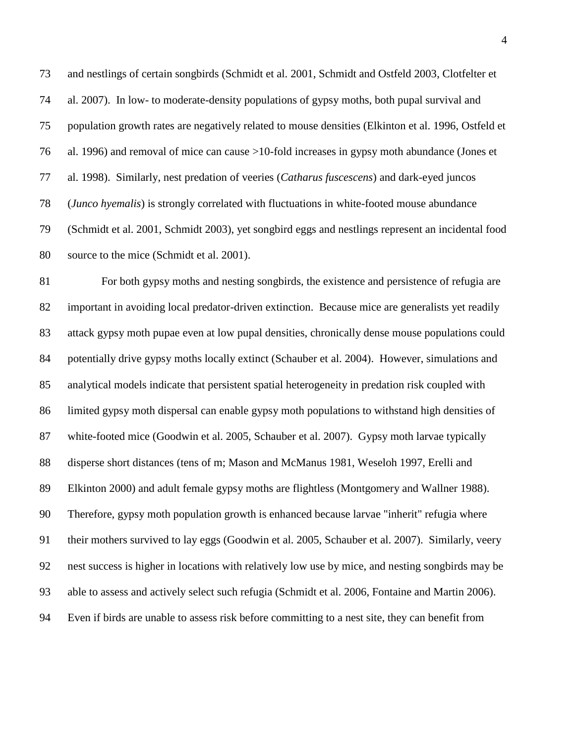and nestlings of certain songbirds (Schmidt et al. 2001, Schmidt and Ostfeld 2003, Clotfelter et al. 2007). In low- to moderate-density populations of gypsy moths, both pupal survival and population growth rates are negatively related to mouse densities (Elkinton et al. 1996, Ostfeld et al. 1996) and removal of mice can cause >10-fold increases in gypsy moth abundance (Jones et al. 1998). Similarly, nest predation of veeries (*Catharus fuscescens*) and dark-eyed juncos (*Junco hyemalis*) is strongly correlated with fluctuations in white-footed mouse abundance (Schmidt et al. 2001, Schmidt 2003), yet songbird eggs and nestlings represent an incidental food source to the mice (Schmidt et al. 2001).

 For both gypsy moths and nesting songbirds, the existence and persistence of refugia are important in avoiding local predator-driven extinction. Because mice are generalists yet readily attack gypsy moth pupae even at low pupal densities, chronically dense mouse populations could potentially drive gypsy moths locally extinct (Schauber et al. 2004). However, simulations and analytical models indicate that persistent spatial heterogeneity in predation risk coupled with limited gypsy moth dispersal can enable gypsy moth populations to withstand high densities of white-footed mice (Goodwin et al. 2005, Schauber et al. 2007). Gypsy moth larvae typically disperse short distances (tens of m; Mason and McManus 1981, Weseloh 1997, Erelli and Elkinton 2000) and adult female gypsy moths are flightless (Montgomery and Wallner 1988). Therefore, gypsy moth population growth is enhanced because larvae "inherit" refugia where their mothers survived to lay eggs (Goodwin et al. 2005, Schauber et al. 2007). Similarly, veery nest success is higher in locations with relatively low use by mice, and nesting songbirds may be able to assess and actively select such refugia (Schmidt et al. 2006, Fontaine and Martin 2006). Even if birds are unable to assess risk before committing to a nest site, they can benefit from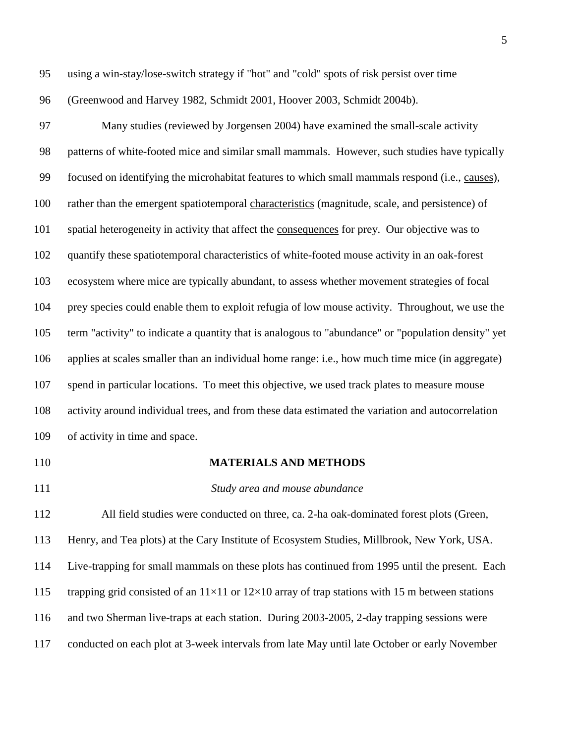- using a win-stay/lose-switch strategy if "hot" and "cold" spots of risk persist over time (Greenwood and Harvey 1982, Schmidt 2001, Hoover 2003, Schmidt 2004b). Many studies (reviewed by Jorgensen 2004) have examined the small-scale activity patterns of white-footed mice and similar small mammals. However, such studies have typically focused on identifying the microhabitat features to which small mammals respond (i.e., causes), rather than the emergent spatiotemporal characteristics (magnitude, scale, and persistence) of spatial heterogeneity in activity that affect the consequences for prey. Our objective was to quantify these spatiotemporal characteristics of white-footed mouse activity in an oak-forest ecosystem where mice are typically abundant, to assess whether movement strategies of focal prey species could enable them to exploit refugia of low mouse activity. Throughout, we use the term "activity" to indicate a quantity that is analogous to "abundance" or "population density" yet applies at scales smaller than an individual home range: i.e., how much time mice (in aggregate) spend in particular locations. To meet this objective, we used track plates to measure mouse activity around individual trees, and from these data estimated the variation and autocorrelation of activity in time and space.
- 
- **MATERIALS AND METHODS**
- 

#### *Study area and mouse abundance*

 All field studies were conducted on three, ca. 2-ha oak-dominated forest plots (Green, Henry, and Tea plots) at the Cary Institute of Ecosystem Studies, Millbrook, New York, USA. Live-trapping for small mammals on these plots has continued from 1995 until the present. Each 115 trapping grid consisted of an  $11\times11$  or  $12\times10$  array of trap stations with 15 m between stations and two Sherman live-traps at each station. During 2003-2005, 2-day trapping sessions were conducted on each plot at 3-week intervals from late May until late October or early November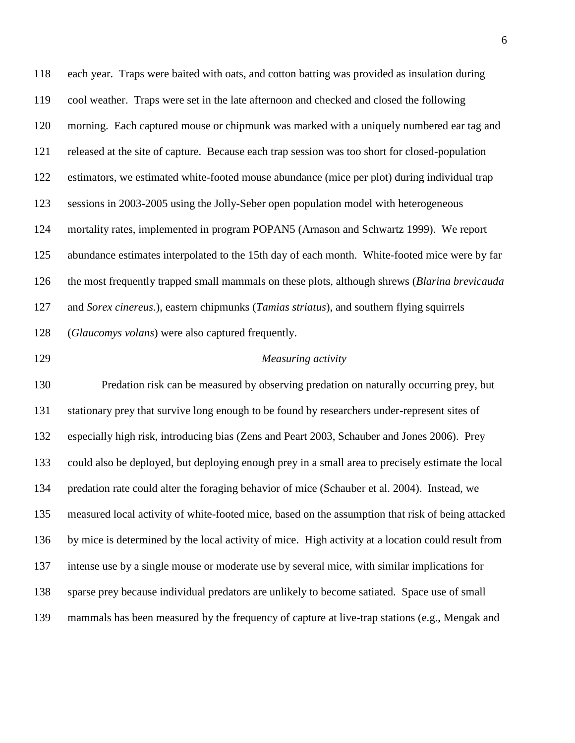each year. Traps were baited with oats, and cotton batting was provided as insulation during cool weather. Traps were set in the late afternoon and checked and closed the following morning. Each captured mouse or chipmunk was marked with a uniquely numbered ear tag and released at the site of capture. Because each trap session was too short for closed-population estimators, we estimated white-footed mouse abundance (mice per plot) during individual trap sessions in 2003-2005 using the Jolly-Seber open population model with heterogeneous mortality rates, implemented in program POPAN5 (Arnason and Schwartz 1999). We report abundance estimates interpolated to the 15th day of each month. White-footed mice were by far the most frequently trapped small mammals on these plots, although shrews (*Blarina brevicauda* and *Sorex cinereus*.), eastern chipmunks (*Tamias striatus*), and southern flying squirrels (*Glaucomys volans*) were also captured frequently.

## *Measuring activity*

 Predation risk can be measured by observing predation on naturally occurring prey, but stationary prey that survive long enough to be found by researchers under-represent sites of especially high risk, introducing bias (Zens and Peart 2003, Schauber and Jones 2006). Prey could also be deployed, but deploying enough prey in a small area to precisely estimate the local predation rate could alter the foraging behavior of mice (Schauber et al. 2004). Instead, we measured local activity of white-footed mice, based on the assumption that risk of being attacked by mice is determined by the local activity of mice. High activity at a location could result from intense use by a single mouse or moderate use by several mice, with similar implications for sparse prey because individual predators are unlikely to become satiated. Space use of small mammals has been measured by the frequency of capture at live-trap stations (e.g., Mengak and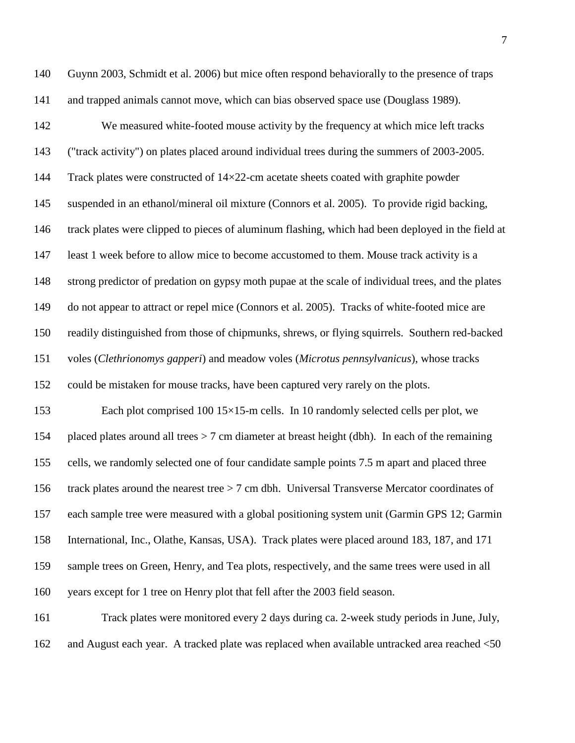Guynn 2003, Schmidt et al. 2006) but mice often respond behaviorally to the presence of traps and trapped animals cannot move, which can bias observed space use (Douglass 1989).

 We measured white-footed mouse activity by the frequency at which mice left tracks ("track activity") on plates placed around individual trees during the summers of 2003-2005. 144 Track plates were constructed of 14×22-cm acetate sheets coated with graphite powder suspended in an ethanol/mineral oil mixture (Connors et al. 2005). To provide rigid backing, track plates were clipped to pieces of aluminum flashing, which had been deployed in the field at least 1 week before to allow mice to become accustomed to them. Mouse track activity is a strong predictor of predation on gypsy moth pupae at the scale of individual trees, and the plates do not appear to attract or repel mice (Connors et al. 2005). Tracks of white-footed mice are readily distinguished from those of chipmunks, shrews, or flying squirrels. Southern red-backed voles (*Clethrionomys gapperi*) and meadow voles (*Microtus pennsylvanicus*), whose tracks could be mistaken for mouse tracks, have been captured very rarely on the plots. Each plot comprised 100 15×15-m cells. In 10 randomly selected cells per plot, we

 placed plates around all trees > 7 cm diameter at breast height (dbh). In each of the remaining cells, we randomly selected one of four candidate sample points 7.5 m apart and placed three track plates around the nearest tree > 7 cm dbh. Universal Transverse Mercator coordinates of each sample tree were measured with a global positioning system unit (Garmin GPS 12; Garmin International, Inc., Olathe, Kansas, USA). Track plates were placed around 183, 187, and 171 sample trees on Green, Henry, and Tea plots, respectively, and the same trees were used in all years except for 1 tree on Henry plot that fell after the 2003 field season.

 Track plates were monitored every 2 days during ca. 2-week study periods in June, July, 162 and August each year. A tracked plate was replaced when available untracked area reached <50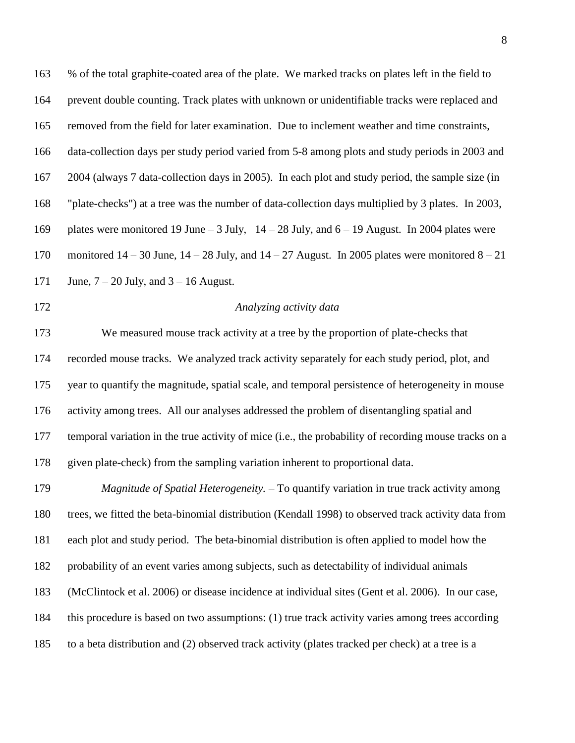% of the total graphite-coated area of the plate. We marked tracks on plates left in the field to prevent double counting. Track plates with unknown or unidentifiable tracks were replaced and removed from the field for later examination. Due to inclement weather and time constraints, data-collection days per study period varied from 5-8 among plots and study periods in 2003 and 2004 (always 7 data-collection days in 2005). In each plot and study period, the sample size (in "plate-checks") at a tree was the number of data-collection days multiplied by 3 plates. In 2003, plates were monitored 19 June – 3 July, 14 – 28 July, and 6 – 19 August. In 2004 plates were 170 monitored  $14 - 30$  June,  $14 - 28$  July, and  $14 - 27$  August. In 2005 plates were monitored  $8 - 21$ 171 June,  $7 - 20$  July, and  $3 - 16$  August. *Analyzing activity data* We measured mouse track activity at a tree by the proportion of plate-checks that recorded mouse tracks. We analyzed track activity separately for each study period, plot, and year to quantify the magnitude, spatial scale, and temporal persistence of heterogeneity in mouse activity among trees. All our analyses addressed the problem of disentangling spatial and temporal variation in the true activity of mice (i.e., the probability of recording mouse tracks on a given plate-check) from the sampling variation inherent to proportional data. *Magnitude of Spatial Heterogeneity.* – To quantify variation in true track activity among trees, we fitted the beta-binomial distribution (Kendall 1998) to observed track activity data from each plot and study period. The beta-binomial distribution is often applied to model how the probability of an event varies among subjects, such as detectability of individual animals (McClintock et al. 2006) or disease incidence at individual sites (Gent et al. 2006). In our case, this procedure is based on two assumptions: (1) true track activity varies among trees according

to a beta distribution and (2) observed track activity (plates tracked per check) at a tree is a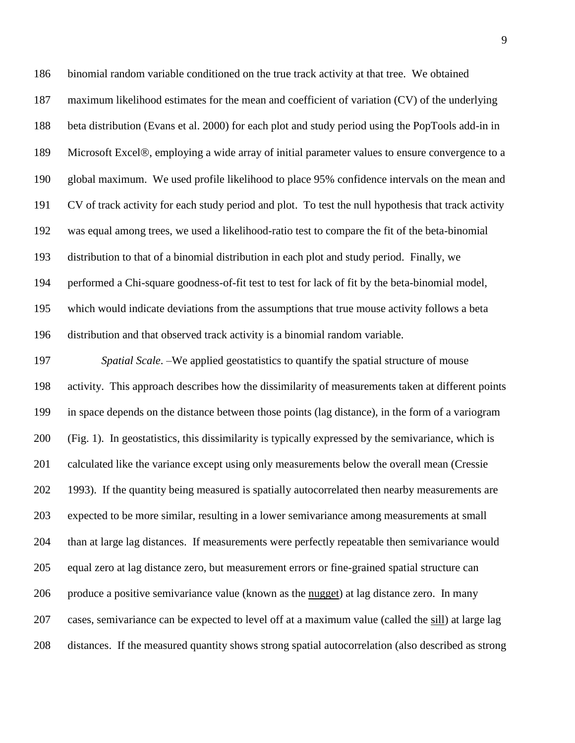binomial random variable conditioned on the true track activity at that tree. We obtained maximum likelihood estimates for the mean and coefficient of variation (CV) of the underlying beta distribution (Evans et al. 2000) for each plot and study period using the PopTools add-in in 189 Microsoft Excel®, employing a wide array of initial parameter values to ensure convergence to a global maximum. We used profile likelihood to place 95% confidence intervals on the mean and CV of track activity for each study period and plot. To test the null hypothesis that track activity was equal among trees, we used a likelihood-ratio test to compare the fit of the beta-binomial distribution to that of a binomial distribution in each plot and study period. Finally, we performed a Chi-square goodness-of-fit test to test for lack of fit by the beta-binomial model, which would indicate deviations from the assumptions that true mouse activity follows a beta distribution and that observed track activity is a binomial random variable.

 *Spatial Scale*. –We applied geostatistics to quantify the spatial structure of mouse activity. This approach describes how the dissimilarity of measurements taken at different points in space depends on the distance between those points (lag distance), in the form of a variogram (Fig. 1). In geostatistics, this dissimilarity is typically expressed by the semivariance, which is calculated like the variance except using only measurements below the overall mean (Cressie 1993). If the quantity being measured is spatially autocorrelated then nearby measurements are expected to be more similar, resulting in a lower semivariance among measurements at small than at large lag distances. If measurements were perfectly repeatable then semivariance would equal zero at lag distance zero, but measurement errors or fine-grained spatial structure can produce a positive semivariance value (known as the nugget) at lag distance zero. In many cases, semivariance can be expected to level off at a maximum value (called the sill) at large lag distances. If the measured quantity shows strong spatial autocorrelation (also described as strong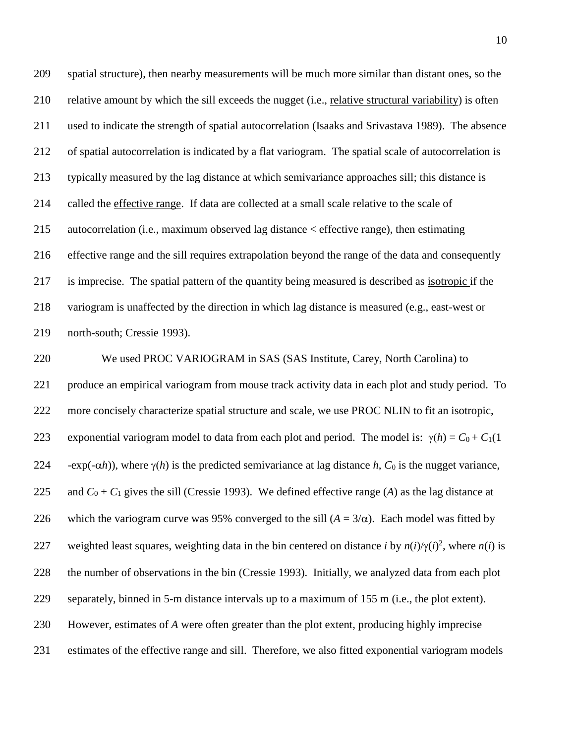spatial structure), then nearby measurements will be much more similar than distant ones, so the relative amount by which the sill exceeds the nugget (i.e., relative structural variability) is often used to indicate the strength of spatial autocorrelation (Isaaks and Srivastava 1989). The absence of spatial autocorrelation is indicated by a flat variogram. The spatial scale of autocorrelation is typically measured by the lag distance at which semivariance approaches sill; this distance is called the effective range. If data are collected at a small scale relative to the scale of autocorrelation (i.e., maximum observed lag distance < effective range), then estimating effective range and the sill requires extrapolation beyond the range of the data and consequently is imprecise. The spatial pattern of the quantity being measured is described as isotropic if the variogram is unaffected by the direction in which lag distance is measured (e.g., east-west or north-south; Cressie 1993).

 We used PROC VARIOGRAM in SAS (SAS Institute, Carey, North Carolina) to produce an empirical variogram from mouse track activity data in each plot and study period. To more concisely characterize spatial structure and scale, we use PROC NLIN to fit an isotropic, 223 exponential variogram model to data from each plot and period. The model is:  $\gamma(h) = C_0 + C_1(1)$  -exp(- $\alpha$ *h*)), where  $\gamma$ (*h*) is the predicted semivariance at lag distance *h*,  $C_0$  is the nugget variance, 225 and  $C_0 + C_1$  gives the sill (Cressie 1993). We defined effective range (*A*) as the lag distance at 226 which the variogram curve was 95% converged to the sill  $(A = 3/\alpha)$ . Each model was fitted by 227 weighted least squares, weighting data in the bin centered on distance *i* by  $n(i)/\gamma(i)^2$ , where  $n(i)$  is the number of observations in the bin (Cressie 1993). Initially, we analyzed data from each plot separately, binned in 5-m distance intervals up to a maximum of 155 m (i.e., the plot extent). However, estimates of *A* were often greater than the plot extent, producing highly imprecise estimates of the effective range and sill. Therefore, we also fitted exponential variogram models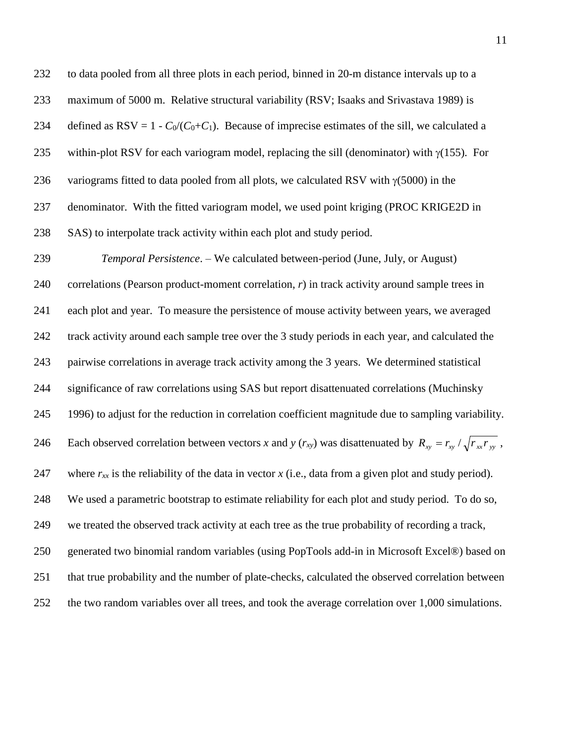to data pooled from all three plots in each period, binned in 20-m distance intervals up to a maximum of 5000 m. Relative structural variability (RSV; Isaaks and Srivastava 1989) is 234 defined as  $RSV = 1 - C_0/(C_0+C_1)$ . Because of imprecise estimates of the sill, we calculated a 235 within-plot RSV for each variogram model, replacing the sill (denominator) with  $\gamma(155)$ . For 236 variograms fitted to data pooled from all plots, we calculated RSV with  $\gamma$ (5000) in the denominator. With the fitted variogram model, we used point kriging (PROC KRIGE2D in SAS) to interpolate track activity within each plot and study period. *Temporal Persistence*. – We calculated between-period (June, July, or August) correlations (Pearson product-moment correlation, *r*) in track activity around sample trees in each plot and year. To measure the persistence of mouse activity between years, we averaged track activity around each sample tree over the 3 study periods in each year, and calculated the pairwise correlations in average track activity among the 3 years. We determined statistical significance of raw correlations using SAS but report disattenuated correlations (Muchinsky 1996) to adjust for the reduction in correlation coefficient magnitude due to sampling variability. Each observed correlation between vectors *x* and *y* ( $r_{xy}$ ) was disattenuated by  $R_{xy} = r_{xy}/\sqrt{r_{xx}r_{yy}}$ , 247 where  $r_{xx}$  is the reliability of the data in vector  $x$  (i.e., data from a given plot and study period). We used a parametric bootstrap to estimate reliability for each plot and study period. To do so, we treated the observed track activity at each tree as the true probability of recording a track, generated two binomial random variables (using PopTools add-in in Microsoft Excel®) based on

that true probability and the number of plate-checks, calculated the observed correlation between

the two random variables over all trees, and took the average correlation over 1,000 simulations.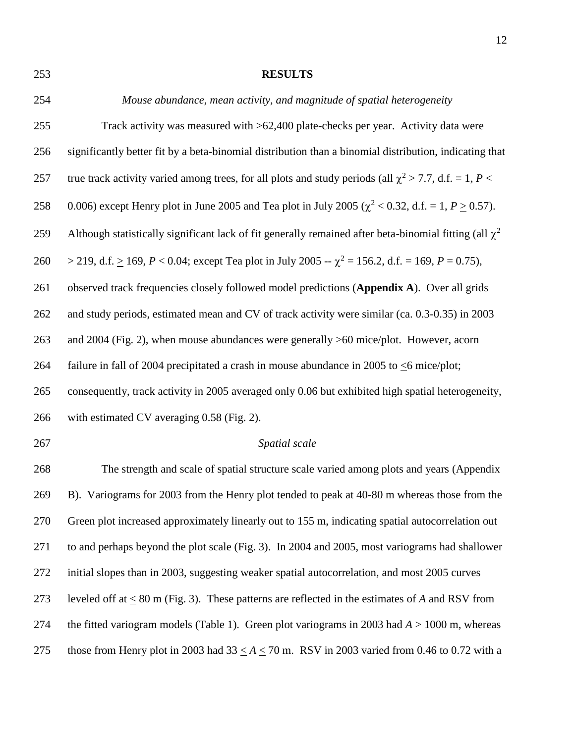**RESULTS** *Mouse abundance, mean activity, and magnitude of spatial heterogeneity* Track activity was measured with >62,400 plate-checks per year. Activity data were significantly better fit by a beta-binomial distribution than a binomial distribution, indicating that 257 true track activity varied among trees, for all plots and study periods (all  $\chi^2 > 7.7$ , d.f. = 1, *P* < 258 0.006) except Henry plot in June 2005 and Tea plot in July 2005 ( $\chi^2$  < 0.32, d.f. = 1, *P*  $\geq$  0.57). Although statistically significant lack of fit generally remained after beta-binomial fitting (all  $\chi^2$ ) 260 > 219, d.f.  $\geq$  169, *P* < 0.04; except Tea plot in July 2005 --  $\chi^2$  = 156.2, d.f. = 169, *P* = 0.75), observed track frequencies closely followed model predictions (**Appendix A**). Over all grids and study periods, estimated mean and CV of track activity were similar (ca. 0.3-0.35) in 2003 and 2004 (Fig. 2), when mouse abundances were generally >60 mice/plot. However, acorn failure in fall of 2004 precipitated a crash in mouse abundance in 2005 to <6 mice/plot; consequently, track activity in 2005 averaged only 0.06 but exhibited high spatial heterogeneity, with estimated CV averaging 0.58 (Fig. 2). *Spatial scale* The strength and scale of spatial structure scale varied among plots and years (Appendix B). Variograms for 2003 from the Henry plot tended to peak at 40-80 m whereas those from the Green plot increased approximately linearly out to 155 m, indicating spatial autocorrelation out to and perhaps beyond the plot scale (Fig. 3). In 2004 and 2005, most variograms had shallower initial slopes than in 2003, suggesting weaker spatial autocorrelation, and most 2005 curves leveled off at < 80 m (Fig. 3). These patterns are reflected in the estimates of *A* and RSV from the fitted variogram models (Table 1). Green plot variograms in 2003 had *A* > 1000 m, whereas 275 those from Henry plot in 2003 had  $33 \le A \le 70$  m. RSV in 2003 varied from 0.46 to 0.72 with a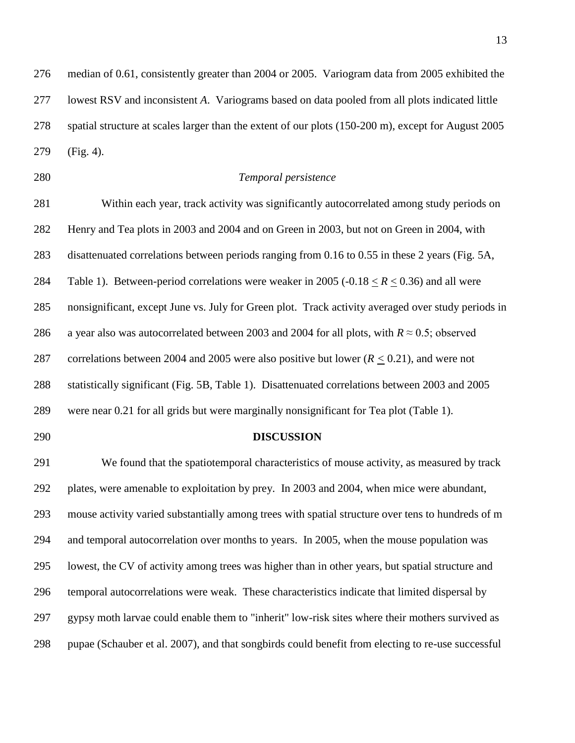median of 0.61, consistently greater than 2004 or 2005. Variogram data from 2005 exhibited the lowest RSV and inconsistent *A*. Variograms based on data pooled from all plots indicated little spatial structure at scales larger than the extent of our plots (150-200 m), except for August 2005 (Fig. 4).

# *Temporal persistence*

 Within each year, track activity was significantly autocorrelated among study periods on Henry and Tea plots in 2003 and 2004 and on Green in 2003, but not on Green in 2004, with disattenuated correlations between periods ranging from 0.16 to 0.55 in these 2 years (Fig. 5A, Table 1). Between-period correlations were weaker in 2005 (-0.18 < *R* < 0.36) and all were nonsignificant, except June vs. July for Green plot. Track activity averaged over study periods in 286 a year also was autocorrelated between 2003 and 2004 for all plots, with  $R \approx 0.5$ ; observed correlations between 2004 and 2005 were also positive but lower (*R <* 0.21), and were not statistically significant (Fig. 5B, Table 1). Disattenuated correlations between 2003 and 2005 were near 0.21 for all grids but were marginally nonsignificant for Tea plot (Table 1).

#### **DISCUSSION**

 We found that the spatiotemporal characteristics of mouse activity, as measured by track plates, were amenable to exploitation by prey. In 2003 and 2004, when mice were abundant, mouse activity varied substantially among trees with spatial structure over tens to hundreds of m and temporal autocorrelation over months to years. In 2005, when the mouse population was lowest, the CV of activity among trees was higher than in other years, but spatial structure and temporal autocorrelations were weak. These characteristics indicate that limited dispersal by gypsy moth larvae could enable them to "inherit" low-risk sites where their mothers survived as pupae (Schauber et al. 2007), and that songbirds could benefit from electing to re-use successful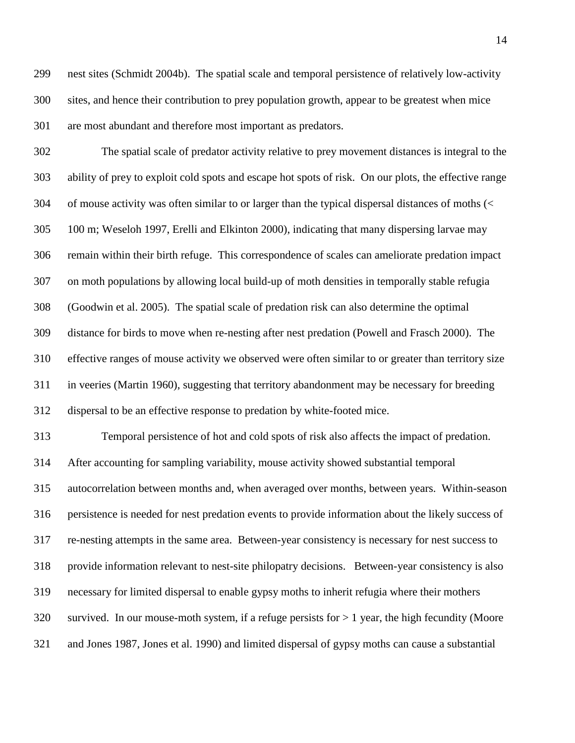nest sites (Schmidt 2004b). The spatial scale and temporal persistence of relatively low-activity sites, and hence their contribution to prey population growth, appear to be greatest when mice are most abundant and therefore most important as predators.

 The spatial scale of predator activity relative to prey movement distances is integral to the ability of prey to exploit cold spots and escape hot spots of risk. On our plots, the effective range of mouse activity was often similar to or larger than the typical dispersal distances of moths (< 100 m; Weseloh 1997, Erelli and Elkinton 2000), indicating that many dispersing larvae may remain within their birth refuge. This correspondence of scales can ameliorate predation impact on moth populations by allowing local build-up of moth densities in temporally stable refugia (Goodwin et al. 2005). The spatial scale of predation risk can also determine the optimal distance for birds to move when re-nesting after nest predation (Powell and Frasch 2000). The effective ranges of mouse activity we observed were often similar to or greater than territory size in veeries (Martin 1960), suggesting that territory abandonment may be necessary for breeding dispersal to be an effective response to predation by white-footed mice.

 Temporal persistence of hot and cold spots of risk also affects the impact of predation. After accounting for sampling variability, mouse activity showed substantial temporal autocorrelation between months and, when averaged over months, between years. Within-season persistence is needed for nest predation events to provide information about the likely success of re-nesting attempts in the same area. Between-year consistency is necessary for nest success to provide information relevant to nest-site philopatry decisions. Between-year consistency is also necessary for limited dispersal to enable gypsy moths to inherit refugia where their mothers survived. In our mouse-moth system, if a refuge persists for > 1 year, the high fecundity (Moore and Jones 1987, Jones et al. 1990) and limited dispersal of gypsy moths can cause a substantial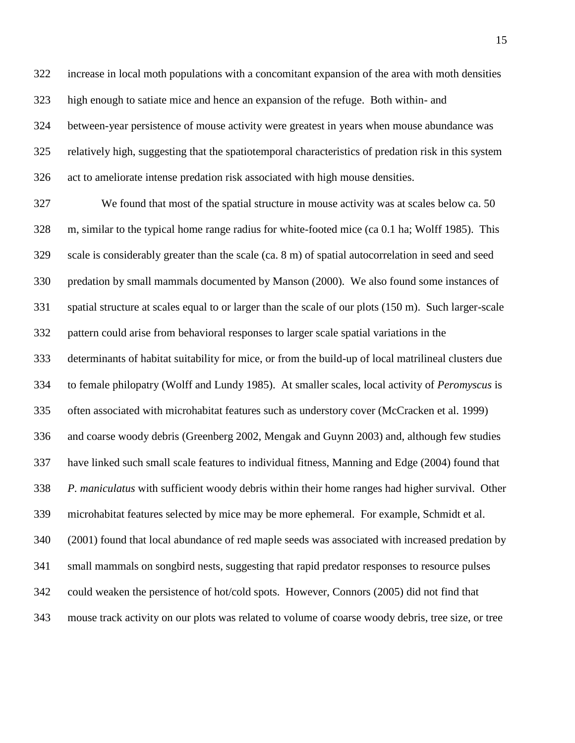increase in local moth populations with a concomitant expansion of the area with moth densities high enough to satiate mice and hence an expansion of the refuge. Both within- and between-year persistence of mouse activity were greatest in years when mouse abundance was relatively high, suggesting that the spatiotemporal characteristics of predation risk in this system act to ameliorate intense predation risk associated with high mouse densities.

 We found that most of the spatial structure in mouse activity was at scales below ca. 50 m, similar to the typical home range radius for white-footed mice (ca 0.1 ha; Wolff 1985). This scale is considerably greater than the scale (ca. 8 m) of spatial autocorrelation in seed and seed predation by small mammals documented by Manson (2000). We also found some instances of spatial structure at scales equal to or larger than the scale of our plots (150 m). Such larger-scale pattern could arise from behavioral responses to larger scale spatial variations in the determinants of habitat suitability for mice, or from the build-up of local matrilineal clusters due to female philopatry (Wolff and Lundy 1985). At smaller scales, local activity of *Peromyscus* is often associated with microhabitat features such as understory cover (McCracken et al. 1999) and coarse woody debris (Greenberg 2002, Mengak and Guynn 2003) and, although few studies have linked such small scale features to individual fitness, Manning and Edge (2004) found that *P. maniculatus* with sufficient woody debris within their home ranges had higher survival. Other microhabitat features selected by mice may be more ephemeral. For example, Schmidt et al. (2001) found that local abundance of red maple seeds was associated with increased predation by small mammals on songbird nests, suggesting that rapid predator responses to resource pulses could weaken the persistence of hot/cold spots. However, Connors (2005) did not find that mouse track activity on our plots was related to volume of coarse woody debris, tree size, or tree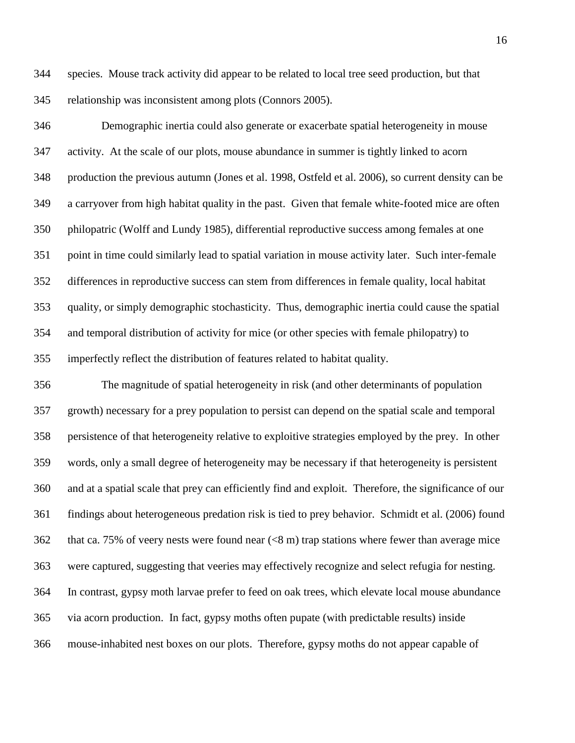species. Mouse track activity did appear to be related to local tree seed production, but that relationship was inconsistent among plots (Connors 2005).

 Demographic inertia could also generate or exacerbate spatial heterogeneity in mouse activity. At the scale of our plots, mouse abundance in summer is tightly linked to acorn production the previous autumn (Jones et al. 1998, Ostfeld et al. 2006), so current density can be a carryover from high habitat quality in the past. Given that female white-footed mice are often philopatric (Wolff and Lundy 1985), differential reproductive success among females at one point in time could similarly lead to spatial variation in mouse activity later. Such inter-female differences in reproductive success can stem from differences in female quality, local habitat quality, or simply demographic stochasticity. Thus, demographic inertia could cause the spatial and temporal distribution of activity for mice (or other species with female philopatry) to imperfectly reflect the distribution of features related to habitat quality.

 The magnitude of spatial heterogeneity in risk (and other determinants of population growth) necessary for a prey population to persist can depend on the spatial scale and temporal persistence of that heterogeneity relative to exploitive strategies employed by the prey. In other words, only a small degree of heterogeneity may be necessary if that heterogeneity is persistent and at a spatial scale that prey can efficiently find and exploit. Therefore, the significance of our findings about heterogeneous predation risk is tied to prey behavior. Schmidt et al. (2006) found that ca. 75% of veery nests were found near (<8 m) trap stations where fewer than average mice were captured, suggesting that veeries may effectively recognize and select refugia for nesting. In contrast, gypsy moth larvae prefer to feed on oak trees, which elevate local mouse abundance via acorn production. In fact, gypsy moths often pupate (with predictable results) inside mouse-inhabited nest boxes on our plots. Therefore, gypsy moths do not appear capable of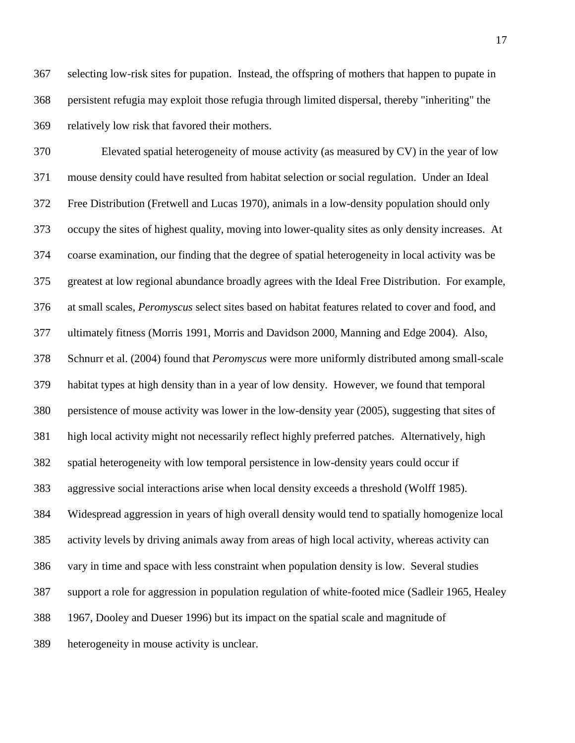selecting low-risk sites for pupation. Instead, the offspring of mothers that happen to pupate in persistent refugia may exploit those refugia through limited dispersal, thereby "inheriting" the relatively low risk that favored their mothers.

 Elevated spatial heterogeneity of mouse activity (as measured by CV) in the year of low mouse density could have resulted from habitat selection or social regulation. Under an Ideal Free Distribution (Fretwell and Lucas 1970), animals in a low-density population should only occupy the sites of highest quality, moving into lower-quality sites as only density increases. At coarse examination, our finding that the degree of spatial heterogeneity in local activity was be greatest at low regional abundance broadly agrees with the Ideal Free Distribution. For example, at small scales, *Peromyscus* select sites based on habitat features related to cover and food, and ultimately fitness (Morris 1991, Morris and Davidson 2000, Manning and Edge 2004). Also, Schnurr et al. (2004) found that *Peromyscus* were more uniformly distributed among small-scale habitat types at high density than in a year of low density. However, we found that temporal persistence of mouse activity was lower in the low-density year (2005), suggesting that sites of high local activity might not necessarily reflect highly preferred patches. Alternatively, high spatial heterogeneity with low temporal persistence in low-density years could occur if aggressive social interactions arise when local density exceeds a threshold (Wolff 1985). Widespread aggression in years of high overall density would tend to spatially homogenize local activity levels by driving animals away from areas of high local activity, whereas activity can vary in time and space with less constraint when population density is low. Several studies support a role for aggression in population regulation of white-footed mice (Sadleir 1965, Healey 1967, Dooley and Dueser 1996) but its impact on the spatial scale and magnitude of heterogeneity in mouse activity is unclear.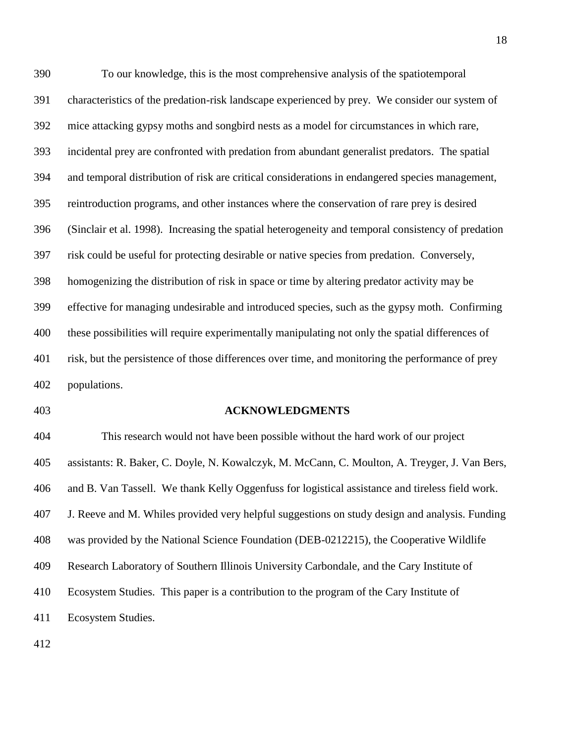To our knowledge, this is the most comprehensive analysis of the spatiotemporal characteristics of the predation-risk landscape experienced by prey. We consider our system of mice attacking gypsy moths and songbird nests as a model for circumstances in which rare, incidental prey are confronted with predation from abundant generalist predators. The spatial and temporal distribution of risk are critical considerations in endangered species management, reintroduction programs, and other instances where the conservation of rare prey is desired (Sinclair et al. 1998). Increasing the spatial heterogeneity and temporal consistency of predation risk could be useful for protecting desirable or native species from predation. Conversely, homogenizing the distribution of risk in space or time by altering predator activity may be effective for managing undesirable and introduced species, such as the gypsy moth. Confirming these possibilities will require experimentally manipulating not only the spatial differences of risk, but the persistence of those differences over time, and monitoring the performance of prey populations.

#### **ACKNOWLEDGMENTS**

 This research would not have been possible without the hard work of our project assistants: R. Baker, C. Doyle, N. Kowalczyk, M. McCann, C. Moulton, A. Treyger, J. Van Bers, and B. Van Tassell. We thank Kelly Oggenfuss for logistical assistance and tireless field work. J. Reeve and M. Whiles provided very helpful suggestions on study design and analysis. Funding was provided by the National Science Foundation (DEB-0212215), the Cooperative Wildlife Research Laboratory of Southern Illinois University Carbondale, and the Cary Institute of Ecosystem Studies. This paper is a contribution to the program of the Cary Institute of Ecosystem Studies.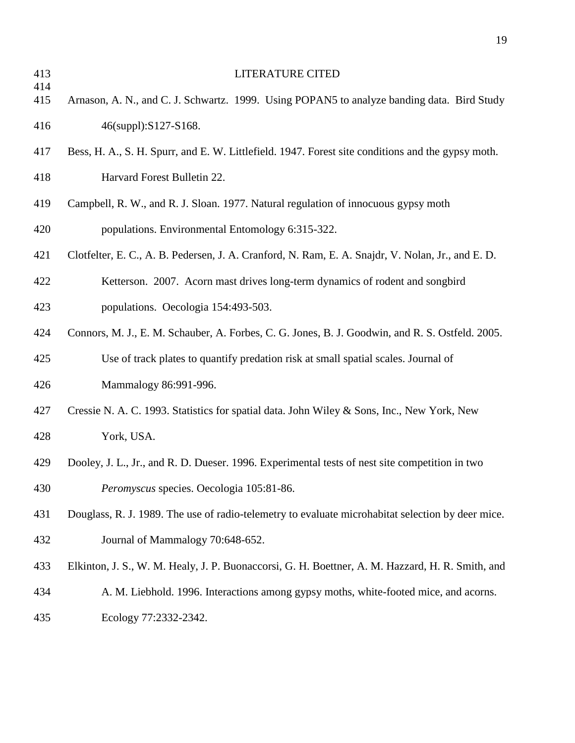| 413        | <b>LITERATURE CITED</b>                                                                           |
|------------|---------------------------------------------------------------------------------------------------|
| 414<br>415 | Arnason, A. N., and C. J. Schwartz. 1999. Using POPAN5 to analyze banding data. Bird Study        |
| 416        | 46(suppl):S127-S168.                                                                              |
| 417        | Bess, H. A., S. H. Spurr, and E. W. Littlefield. 1947. Forest site conditions and the gypsy moth. |
| 418        | Harvard Forest Bulletin 22.                                                                       |
| 419        | Campbell, R. W., and R. J. Sloan. 1977. Natural regulation of innocuous gypsy moth                |
| 420        | populations. Environmental Entomology 6:315-322.                                                  |
| 421        | Clotfelter, E. C., A. B. Pedersen, J. A. Cranford, N. Ram, E. A. Snajdr, V. Nolan, Jr., and E. D. |
| 422        | Ketterson. 2007. Acorn mast drives long-term dynamics of rodent and songbird                      |
| 423        | populations. Oecologia 154:493-503.                                                               |
| 424        | Connors, M. J., E. M. Schauber, A. Forbes, C. G. Jones, B. J. Goodwin, and R. S. Ostfeld. 2005.   |
| 425        | Use of track plates to quantify predation risk at small spatial scales. Journal of                |
| 426        | Mammalogy 86:991-996.                                                                             |
| 427        | Cressie N. A. C. 1993. Statistics for spatial data. John Wiley & Sons, Inc., New York, New        |
| 428        | York, USA.                                                                                        |
| 429        | Dooley, J. L., Jr., and R. D. Dueser. 1996. Experimental tests of nest site competition in two    |
| 430        | Peromyscus species. Oecologia 105:81-86.                                                          |
| 431        | Douglass, R. J. 1989. The use of radio-telemetry to evaluate microhabitat selection by deer mice. |
| 432        | Journal of Mammalogy 70:648-652.                                                                  |
| 433        | Elkinton, J. S., W. M. Healy, J. P. Buonaccorsi, G. H. Boettner, A. M. Hazzard, H. R. Smith, and  |
| 434        | A. M. Liebhold. 1996. Interactions among gypsy moths, white-footed mice, and acorns.              |
| 435        | Ecology 77:2332-2342.                                                                             |
|            |                                                                                                   |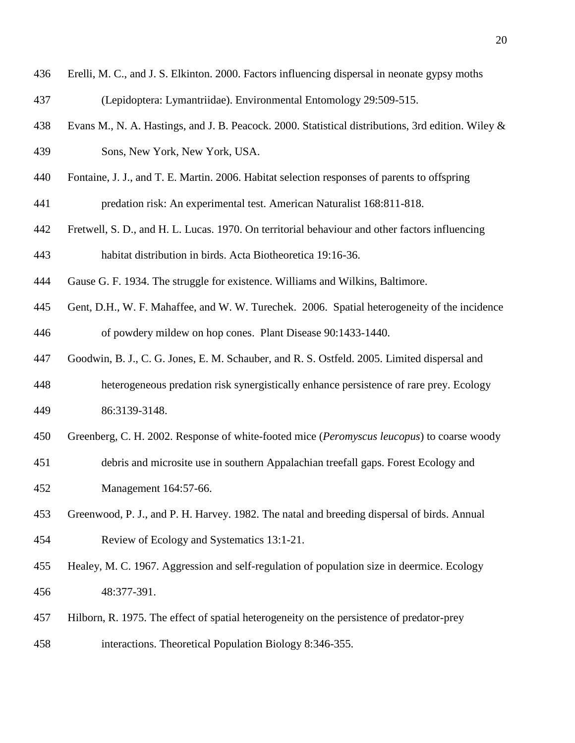- Erelli, M. C., and J. S. Elkinton. 2000. Factors influencing dispersal in neonate gypsy moths
- (Lepidoptera: Lymantriidae). Environmental Entomology 29:509-515.
- Evans M., N. A. Hastings, and J. B. Peacock. 2000. Statistical distributions, 3rd edition. Wiley & Sons, New York, New York, USA.
- Fontaine, J. J., and T. E. Martin. 2006. Habitat selection responses of parents to offspring predation risk: An experimental test. American Naturalist 168:811-818.
- Fretwell, S. D., and H. L. Lucas. 1970. On territorial behaviour and other factors influencing habitat distribution in birds. Acta Biotheoretica 19:16-36.
- Gause G. F. 1934. The struggle for existence. Williams and Wilkins, Baltimore.
- Gent, D.H., W. F. Mahaffee, and W. W. Turechek. 2006. Spatial heterogeneity of the incidence of powdery mildew on hop cones. Plant Disease 90:1433-1440.
- Goodwin, B. J., C. G. Jones, E. M. Schauber, and R. S. Ostfeld. 2005. Limited dispersal and
- heterogeneous predation risk synergistically enhance persistence of rare prey. Ecology 86:3139-3148.
- Greenberg, C. H. 2002. Response of white-footed mice (*Peromyscus leucopus*) to coarse woody
- debris and microsite use in southern Appalachian treefall gaps. Forest Ecology and Management 164:57-66.
- Greenwood, P. J., and P. H. Harvey. 1982. The natal and breeding dispersal of birds. Annual Review of Ecology and Systematics 13:1-21.
- Healey, M. C. 1967. Aggression and self-regulation of population size in deermice. Ecology 48:377-391.
- Hilborn, R. 1975. The effect of spatial heterogeneity on the persistence of predator-prey interactions. Theoretical Population Biology 8:346-355.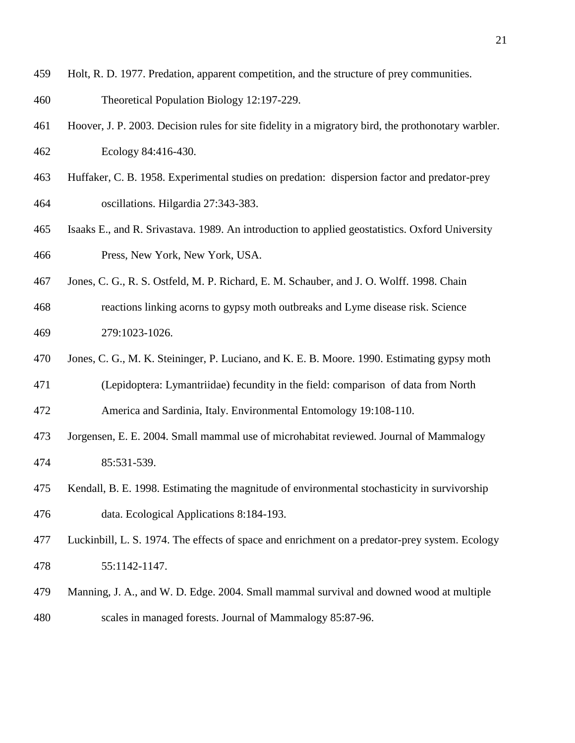- Holt, R. D. 1977. Predation, apparent competition, and the structure of prey communities.
- Theoretical Population Biology 12:197-229.
- Hoover, J. P. 2003. Decision rules for site fidelity in a migratory bird, the prothonotary warbler. Ecology 84:416-430.
- Huffaker, C. B. 1958. Experimental studies on predation: dispersion factor and predator-prey oscillations. Hilgardia 27:343-383.
- Isaaks E., and R. Srivastava. 1989. An introduction to applied geostatistics. Oxford University Press, New York, New York, USA.
- Jones, C. G., R. S. Ostfeld, M. P. Richard, E. M. Schauber, and J. O. Wolff. 1998. Chain
- reactions linking acorns to gypsy moth outbreaks and Lyme disease risk. Science 279:1023-1026.
- Jones, C. G., M. K. Steininger, P. Luciano, and K. E. B. Moore. 1990. Estimating gypsy moth
- (Lepidoptera: Lymantriidae) fecundity in the field: comparison of data from North America and Sardinia, Italy. Environmental Entomology 19:108-110.
- Jorgensen, E. E. 2004. Small mammal use of microhabitat reviewed. Journal of Mammalogy 85:531-539.
- Kendall, B. E. 1998. Estimating the magnitude of environmental stochasticity in survivorship data. Ecological Applications 8:184-193.
- Luckinbill, L. S. 1974. The effects of space and enrichment on a predator-prey system. Ecology 55:1142-1147.
- Manning, J. A., and W. D. Edge. 2004. Small mammal survival and downed wood at multiple scales in managed forests. Journal of Mammalogy 85:87-96.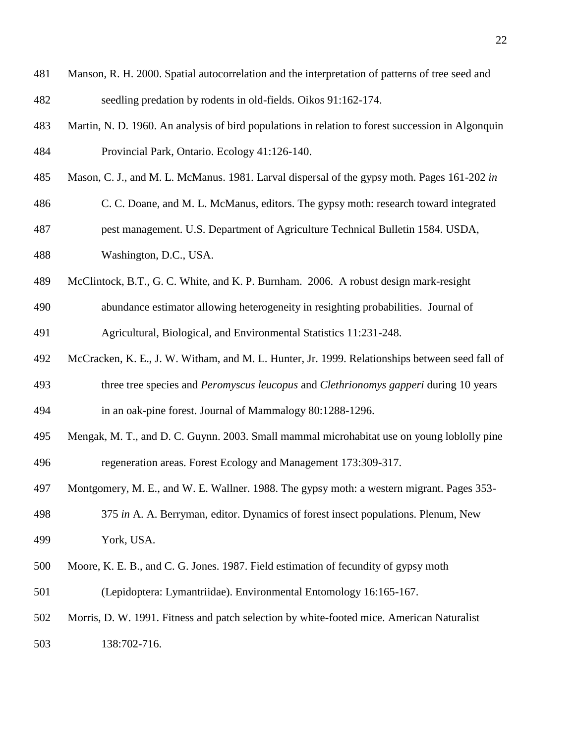- Manson, R. H. 2000. Spatial autocorrelation and the interpretation of patterns of tree seed and seedling predation by rodents in old-fields. Oikos 91:162-174.
- Martin, N. D. 1960. An analysis of bird populations in relation to forest succession in Algonquin Provincial Park, Ontario. Ecology 41:126-140.
- Mason, C. J., and M. L. McManus. 1981. Larval dispersal of the gypsy moth. Pages 161-202 *in*
- C. C. Doane, and M. L. McManus, editors. The gypsy moth: research toward integrated
- pest management. U.S. Department of Agriculture Technical Bulletin 1584. USDA,
- Washington, D.C., USA.
- McClintock, B.T., G. C. White, and K. P. Burnham. 2006. A robust design mark-resight
- abundance estimator allowing heterogeneity in resighting probabilities. Journal of Agricultural, Biological, and Environmental Statistics 11:231-248.
- McCracken, K. E., J. W. Witham, and M. L. Hunter, Jr. 1999. Relationships between seed fall of three tree species and *Peromyscus leucopus* and *Clethrionomys gapperi* during 10 years
- in an oak-pine forest. Journal of Mammalogy 80:1288-1296.
- Mengak, M. T., and D. C. Guynn. 2003. Small mammal microhabitat use on young loblolly pine regeneration areas. Forest Ecology and Management 173:309-317.
- Montgomery, M. E., and W. E. Wallner. 1988. The gypsy moth: a western migrant. Pages 353-
- 375 *in* A. A. Berryman, editor. Dynamics of forest insect populations. Plenum, New York, USA.
- Moore, K. E. B., and C. G. Jones. 1987. Field estimation of fecundity of gypsy moth
- (Lepidoptera: Lymantriidae). Environmental Entomology 16:165-167.
- Morris, D. W. 1991. Fitness and patch selection by white-footed mice. American Naturalist
- 138:702-716.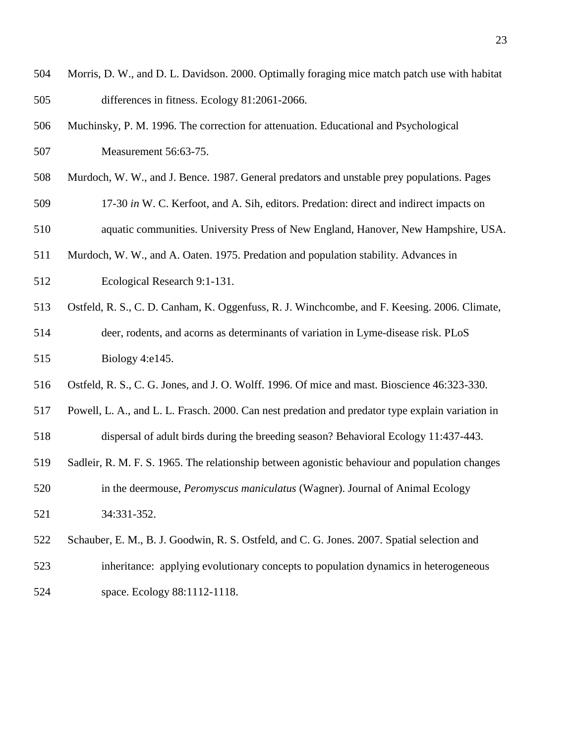- Morris, D. W., and D. L. Davidson. 2000. Optimally foraging mice match patch use with habitat differences in fitness. Ecology 81:2061-2066.
- Muchinsky, P. M. 1996. The correction for attenuation. Educational and Psychological Measurement 56:63-75.
- Murdoch, W. W., and J. Bence. 1987. General predators and unstable prey populations. Pages
- 17-30 *in* W. C. Kerfoot, and A. Sih, editors. Predation: direct and indirect impacts on aquatic communities. University Press of New England, Hanover, New Hampshire, USA.
- Murdoch, W. W., and A. Oaten. 1975. Predation and population stability. Advances in Ecological Research 9:1-131.
- Ostfeld, R. S., C. D. Canham, K. Oggenfuss, R. J. Winchcombe, and F. Keesing. 2006. Climate, deer, rodents, and acorns as determinants of variation in Lyme-disease risk. PLoS Biology 4:e145.
- Ostfeld, R. S., C. G. Jones, and J. O. Wolff. 1996. Of mice and mast. Bioscience 46:323-330.
- Powell, L. A., and L. L. Frasch. 2000. Can nest predation and predator type explain variation in
- dispersal of adult birds during the breeding season? Behavioral Ecology 11:437-443.
- Sadleir, R. M. F. S. 1965. The relationship between agonistic behaviour and population changes in the deermouse, *Peromyscus maniculatus* (Wagner). Journal of Animal Ecology
- 34:331-352.
- Schauber, E. M., B. J. Goodwin, R. S. Ostfeld, and C. G. Jones. 2007. Spatial selection and inheritance: applying evolutionary concepts to population dynamics in heterogeneous space. Ecology 88:1112-1118.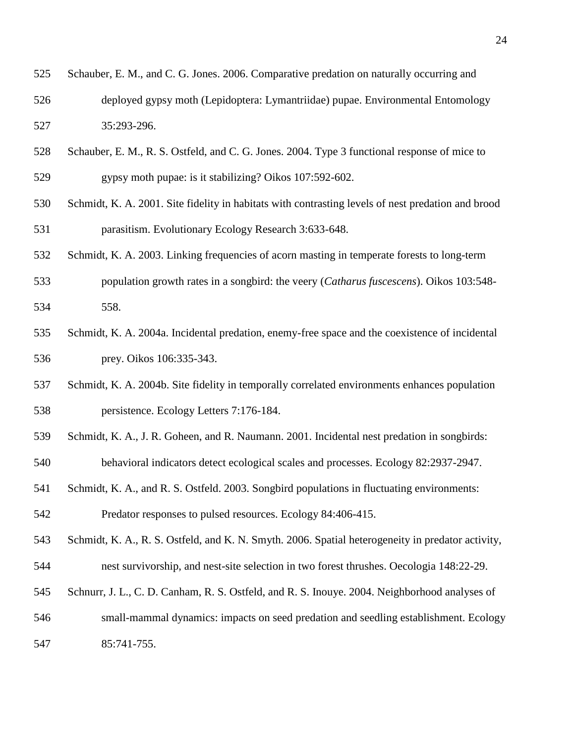| 525 | Schauber, E. M., and C. G. Jones. 2006. Comparative predation on naturally occurring and |
|-----|------------------------------------------------------------------------------------------|
| 526 | deployed gypsy moth (Lepidoptera: Lymantriidae) pupae. Environmental Entomology          |
| 527 | 35:293-296.                                                                              |

- Schauber, E. M., R. S. Ostfeld, and C. G. Jones. 2004. Type 3 functional response of mice to gypsy moth pupae: is it stabilizing? Oikos 107:592-602.
- Schmidt, K. A. 2001. Site fidelity in habitats with contrasting levels of nest predation and brood parasitism. Evolutionary Ecology Research 3:633-648.
- Schmidt, K. A. 2003. Linking frequencies of acorn masting in temperate forests to long-term
- population growth rates in a songbird: the veery (*Catharus fuscescens*). Oikos 103:548- 558.
- Schmidt, K. A. 2004a. Incidental predation, enemy-free space and the coexistence of incidental prey. Oikos 106:335-343.
- Schmidt, K. A. 2004b. Site fidelity in temporally correlated environments enhances population persistence. Ecology Letters 7:176-184.
- Schmidt, K. A., J. R. Goheen, and R. Naumann. 2001. Incidental nest predation in songbirds:
- behavioral indicators detect ecological scales and processes. Ecology 82:2937-2947.
- Schmidt, K. A., and R. S. Ostfeld. 2003. Songbird populations in fluctuating environments:

Predator responses to pulsed resources. Ecology 84:406-415.

- Schmidt, K. A., R. S. Ostfeld, and K. N. Smyth. 2006. Spatial heterogeneity in predator activity, nest survivorship, and nest-site selection in two forest thrushes. Oecologia 148:22-29.
- Schnurr, J. L., C. D. Canham, R. S. Ostfeld, and R. S. Inouye. 2004. Neighborhood analyses of
- small-mammal dynamics: impacts on seed predation and seedling establishment. Ecology
- 85:741-755.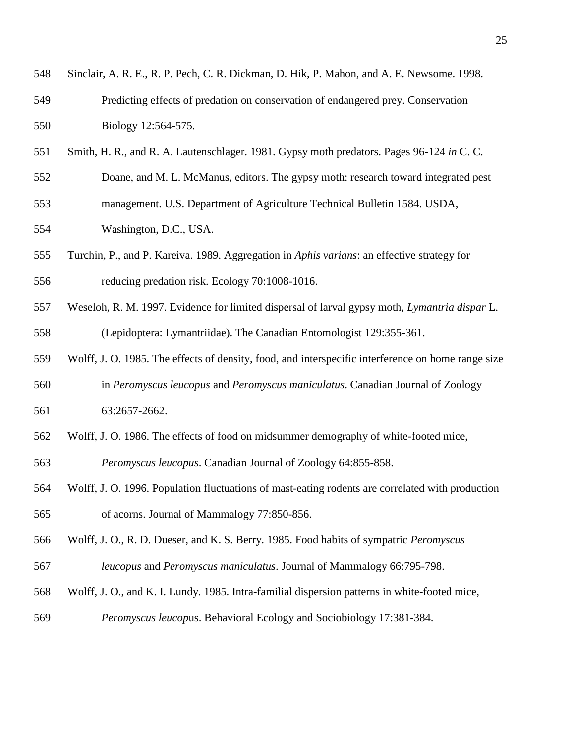| 548 | Sinclair, A. R. E., R. P. Pech, C. R. Dickman, D. Hik, P. Mahon, and A. E. Newsome. 1998.          |
|-----|----------------------------------------------------------------------------------------------------|
| 549 | Predicting effects of predation on conservation of endangered prey. Conservation                   |
| 550 | Biology 12:564-575.                                                                                |
| 551 | Smith, H. R., and R. A. Lautenschlager. 1981. Gypsy moth predators. Pages 96-124 in C. C.          |
| 552 | Doane, and M. L. McManus, editors. The gypsy moth: research toward integrated pest                 |
| 553 | management. U.S. Department of Agriculture Technical Bulletin 1584. USDA,                          |
| 554 | Washington, D.C., USA.                                                                             |
| 555 | Turchin, P., and P. Kareiva. 1989. Aggregation in Aphis varians: an effective strategy for         |
| 556 | reducing predation risk. Ecology 70:1008-1016.                                                     |
| 557 | Weseloh, R. M. 1997. Evidence for limited dispersal of larval gypsy moth, Lymantria dispar L.      |
| 558 | (Lepidoptera: Lymantriidae). The Canadian Entomologist 129:355-361.                                |
| 559 | Wolff, J. O. 1985. The effects of density, food, and interspecific interference on home range size |
| 560 | in Peromyscus leucopus and Peromyscus maniculatus. Canadian Journal of Zoology                     |
| 561 | 63:2657-2662.                                                                                      |
| 562 | Wolff, J. O. 1986. The effects of food on midsummer demography of white-footed mice,               |
| 563 | Peromyscus leucopus. Canadian Journal of Zoology 64:855-858.                                       |
| 564 | Wolff, J. O. 1996. Population fluctuations of mast-eating rodents are correlated with production   |
| 565 | of acorns. Journal of Mammalogy 77:850-856.                                                        |
| 566 | Wolff, J. O., R. D. Dueser, and K. S. Berry. 1985. Food habits of sympatric Peromyscus             |
| 567 | leucopus and Peromyscus maniculatus. Journal of Mammalogy 66:795-798.                              |
| 568 | Wolff, J. O., and K. I. Lundy. 1985. Intra-familial dispersion patterns in white-footed mice,      |
| 569 | Peromyscus leucopus. Behavioral Ecology and Sociobiology 17:381-384.                               |
|     |                                                                                                    |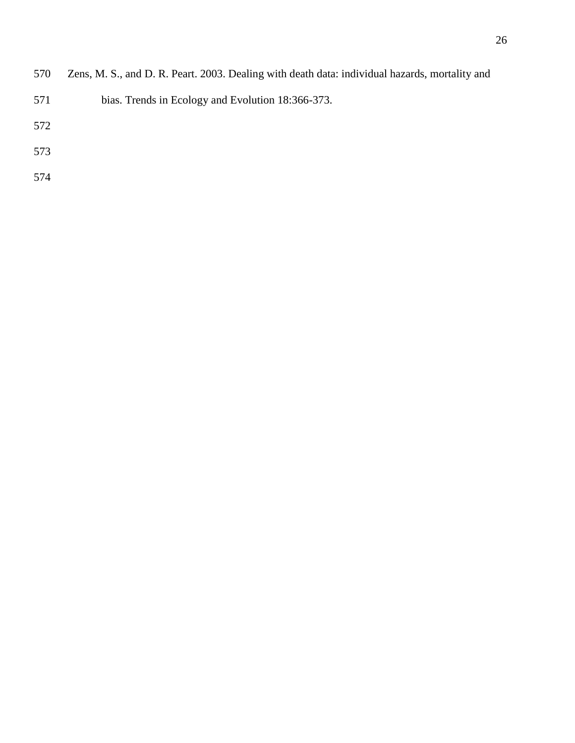- bias. Trends in Ecology and Evolution 18:366-373.
- 
- 
-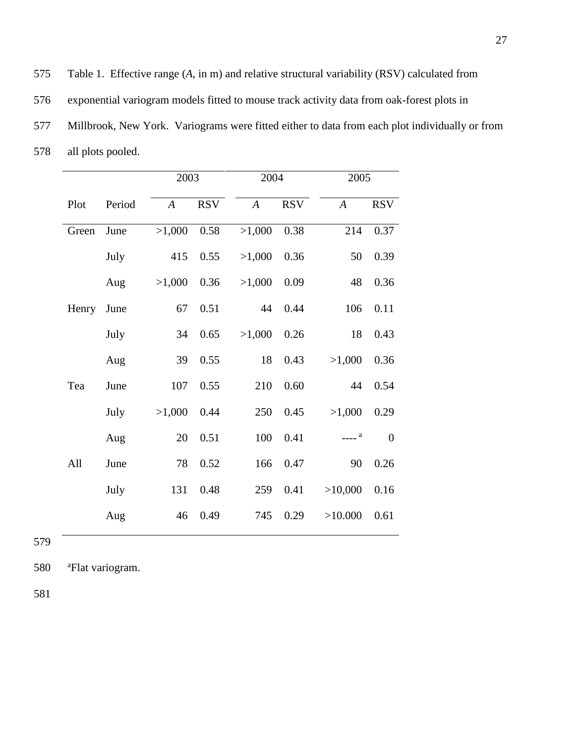575 Table 1. Effective range (*A*, in m) and relative structural variability (RSV) calculated from

576 exponential variogram models fitted to mouse track activity data from oak-forest plots in

577 Millbrook, New York. Variograms were fitted either to data from each plot individually or from

578 all plots pooled.

|       |        | 2003             |            | 2004             |            | 2005             |                |
|-------|--------|------------------|------------|------------------|------------|------------------|----------------|
| Plot  | Period | $\boldsymbol{A}$ | <b>RSV</b> | $\boldsymbol{A}$ | <b>RSV</b> | $\boldsymbol{A}$ | <b>RSV</b>     |
| Green | June   | >1,000           | 0.58       | >1,000           | 0.38       | 214              | 0.37           |
|       | July   | 415              | 0.55       | >1,000           | 0.36       | 50               | 0.39           |
|       | Aug    | >1,000           | 0.36       | >1,000           | 0.09       | $\sqrt{48}$      | 0.36           |
| Henry | June   | 67               | 0.51       | 44               | 0.44       | 106              | 0.11           |
|       | July   | 34               | 0.65       | >1,000           | 0.26       | 18               | 0.43           |
|       | Aug    | 39               | 0.55       | 18               | 0.43       | >1,000           | 0.36           |
| Tea   | June   | 107              | 0.55       | 210              | 0.60       | 44               | 0.54           |
|       | July   | >1,000           | 0.44       | 250              | 0.45       | >1,000           | 0.29           |
|       | Aug    | 20               | 0.51       | 100              | 0.41       | $---a$           | $\overline{0}$ |
| All   | June   | 78               | 0.52       | 166              | 0.47       | 90               | 0.26           |
|       | July   | 131              | 0.48       | 259              | 0.41       | >10,000          | 0.16           |
|       | Aug    | 46               | 0.49       | 745              | 0.29       | >10.000          | 0.61           |

579

580 <sup>a</sup> Flat variogram.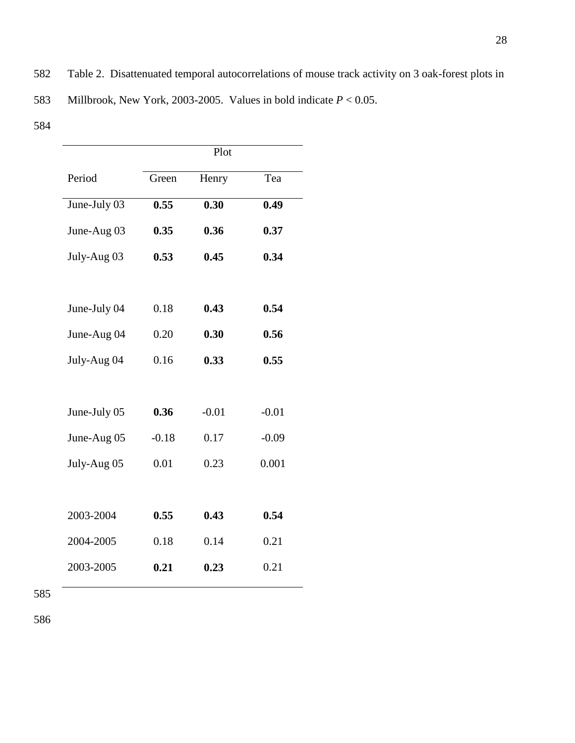582 Table 2. Disattenuated temporal autocorrelations of mouse track activity on 3 oak-forest plots in

583 Millbrook, New York, 2003-2005. Values in bold indicate *P* < 0.05.

584

|              | Plot    |         |         |  |  |  |
|--------------|---------|---------|---------|--|--|--|
| Period       | Green   | Henry   | Tea     |  |  |  |
| June-July 03 | 0.55    | 0.30    | 0.49    |  |  |  |
| June-Aug 03  | 0.35    | 0.36    | 0.37    |  |  |  |
| July-Aug 03  | 0.53    | 0.45    | 0.34    |  |  |  |
|              |         |         |         |  |  |  |
| June-July 04 | 0.18    | 0.43    | 0.54    |  |  |  |
| June-Aug 04  | 0.20    | 0.30    | 0.56    |  |  |  |
| July-Aug 04  | 0.16    | 0.33    | 0.55    |  |  |  |
|              |         |         |         |  |  |  |
| June-July 05 | 0.36    | $-0.01$ | $-0.01$ |  |  |  |
| June-Aug 05  | $-0.18$ | 0.17    | $-0.09$ |  |  |  |
| July-Aug 05  | 0.01    | 0.23    | 0.001   |  |  |  |
|              |         |         |         |  |  |  |
| 2003-2004    | 0.55    | 0.43    | 0.54    |  |  |  |
| 2004-2005    | 0.18    | 0.14    | 0.21    |  |  |  |
| 2003-2005    | 0.21    | 0.23    | 0.21    |  |  |  |
|              |         |         |         |  |  |  |

585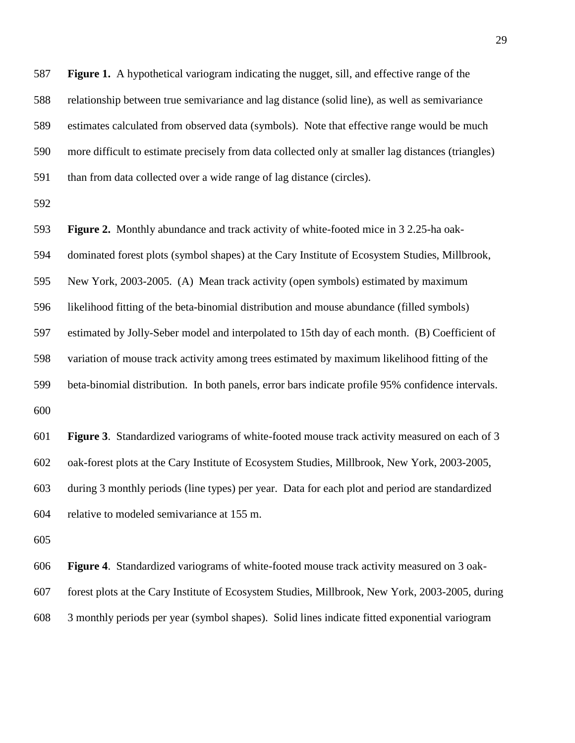**Figure 1.** A hypothetical variogram indicating the nugget, sill, and effective range of the relationship between true semivariance and lag distance (solid line), as well as semivariance estimates calculated from observed data (symbols). Note that effective range would be much more difficult to estimate precisely from data collected only at smaller lag distances (triangles) than from data collected over a wide range of lag distance (circles).

 **Figure 2.** Monthly abundance and track activity of white-footed mice in 3 2.25-ha oak- dominated forest plots (symbol shapes) at the Cary Institute of Ecosystem Studies, Millbrook, New York, 2003-2005. (A) Mean track activity (open symbols) estimated by maximum likelihood fitting of the beta-binomial distribution and mouse abundance (filled symbols) estimated by Jolly-Seber model and interpolated to 15th day of each month. (B) Coefficient of variation of mouse track activity among trees estimated by maximum likelihood fitting of the beta-binomial distribution. In both panels, error bars indicate profile 95% confidence intervals. 

 **Figure 3**. Standardized variograms of white-footed mouse track activity measured on each of 3 oak-forest plots at the Cary Institute of Ecosystem Studies, Millbrook, New York, 2003-2005, during 3 monthly periods (line types) per year. Data for each plot and period are standardized relative to modeled semivariance at 155 m.

 **Figure 4**. Standardized variograms of white-footed mouse track activity measured on 3 oak- forest plots at the Cary Institute of Ecosystem Studies, Millbrook, New York, 2003-2005, during 3 monthly periods per year (symbol shapes). Solid lines indicate fitted exponential variogram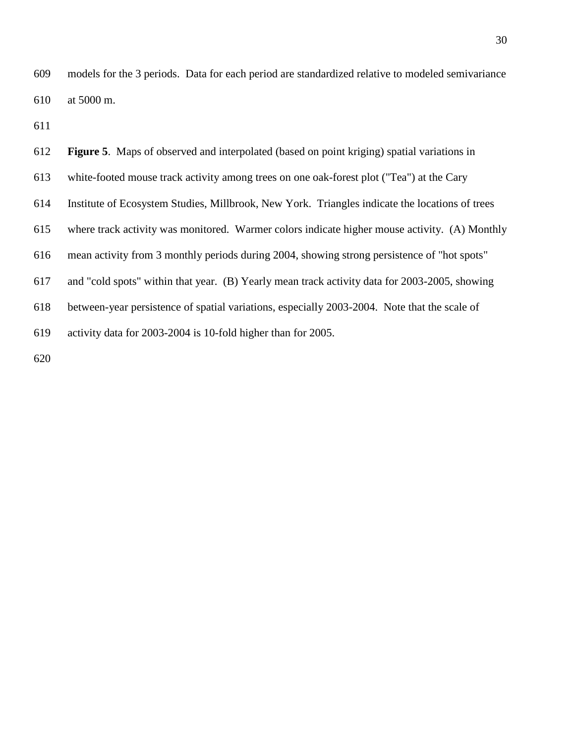models for the 3 periods. Data for each period are standardized relative to modeled semivariance at 5000 m.

| 612 | <b>Figure 5.</b> Maps of observed and interpolated (based on point kriging) spatial variations in |
|-----|---------------------------------------------------------------------------------------------------|
| 613 | white-footed mouse track activity among trees on one oak-forest plot ("Tea") at the Cary          |
| 614 | Institute of Ecosystem Studies, Millbrook, New York. Triangles indicate the locations of trees    |
| 615 | where track activity was monitored. Warmer colors indicate higher mouse activity. (A) Monthly     |
| 616 | mean activity from 3 monthly periods during 2004, showing strong persistence of "hot spots"       |
| 617 | and "cold spots" within that year. (B) Yearly mean track activity data for 2003-2005, showing     |
| 618 | between-year persistence of spatial variations, especially 2003-2004. Note that the scale of      |
| 619 | activity data for 2003-2004 is 10-fold higher than for 2005.                                      |
|     |                                                                                                   |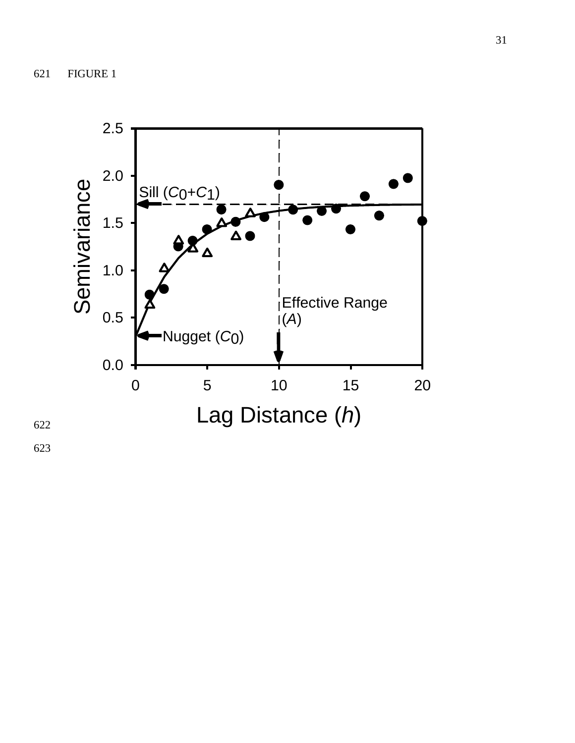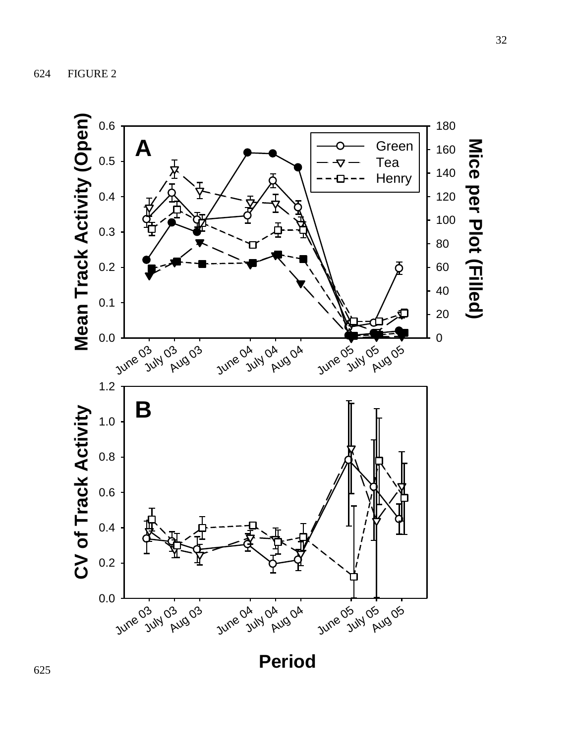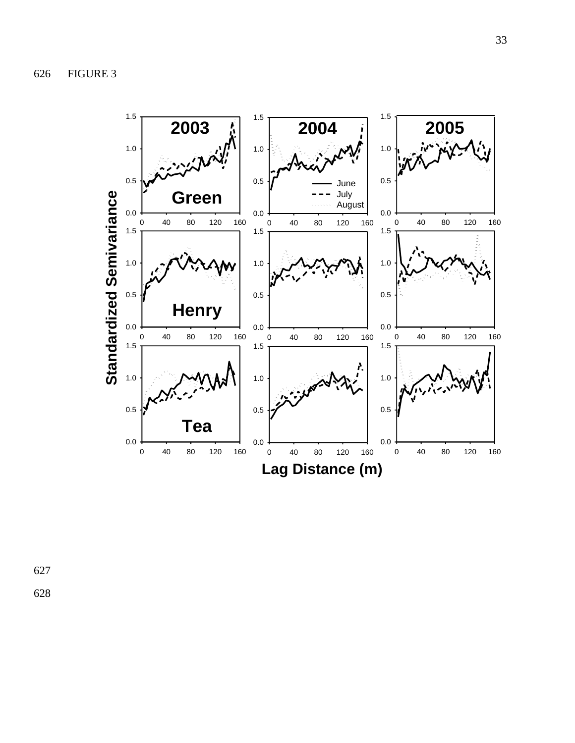

627 628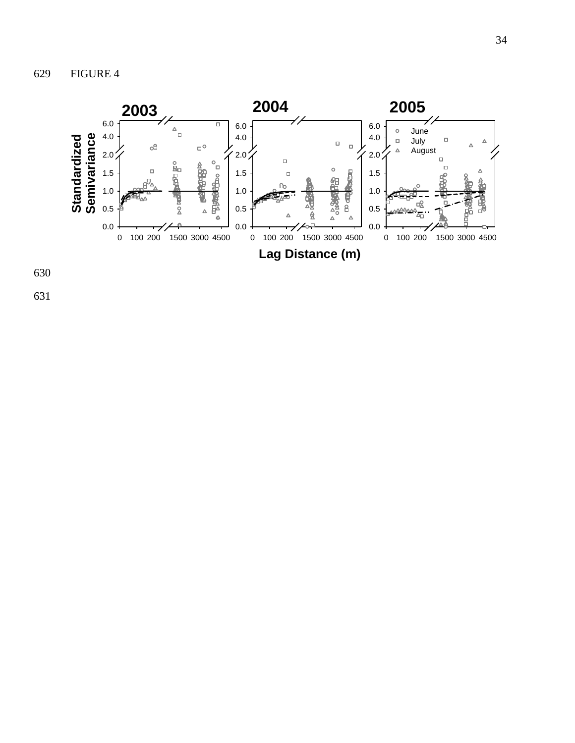